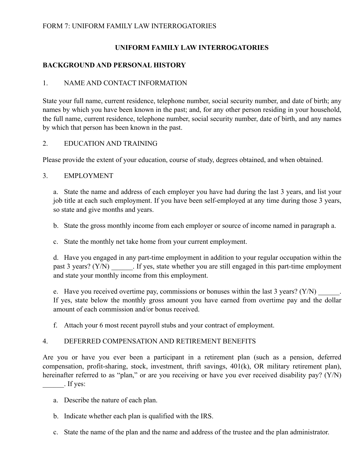## **UNIFORM FAMILY LAW INTERROGATORIES**

## **BACKGROUND AND PERSONAL HISTORY**

## 1. NAME AND CONTACT INFORMATION

State your full name, current residence, telephone number, social security number, and date of birth; any names by which you have been known in the past; and, for any other person residing in your household, the full name, current residence, telephone number, social security number, date of birth, and any names by which that person has been known in the past.

## 2. EDUCATION AND TRAINING

Please provide the extent of your education, course of study, degrees obtained, and when obtained.

## 3. EMPLOYMENT

a. State the name and address of each employer you have had during the last 3 years, and list your job title at each such employment. If you have been self-employed at any time during those 3 years, so state and give months and years.

b. State the gross monthly income from each employer or source of income named in paragraph a.

c. State the monthly net take home from your current employment.

d. Have you engaged in any part-time employment in addition to your regular occupation within the past 3 years? (Y/N) If yes, state whether you are still engaged in this part-time employment and state your monthly income from this employment.

e. Have you received overtime pay, commissions or bonuses within the last 3 years?  $(Y/N)$ If yes, state below the monthly gross amount you have earned from overtime pay and the dollar amount of each commission and/or bonus received.

f. Attach your 6 most recent payroll stubs and your contract of employment.

## 4. DEFERRED COMPENSATION AND RETIREMENT BENEFITS

Are you or have you ever been a participant in a retirement plan (such as a pension, deferred compensation, profit-sharing, stock, investment, thrift savings, 401(k), OR military retirement plan), hereinafter referred to as "plan," or are you receiving or have you ever received disability pay? (Y/N)  $\overline{\phantom{a}}$ . If yes:

- a. Describe the nature of each plan.
- b. Indicate whether each plan is qualified with the IRS.
- c. State the name of the plan and the name and address of the trustee and the plan administrator.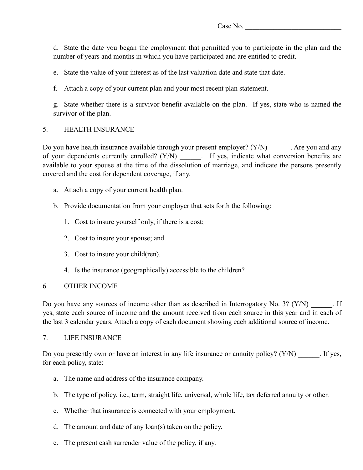d. State the date you began the employment that permitted you to participate in the plan and the number of years and months in which you have participated and are entitled to credit.

e. State the value of your interest as of the last valuation date and state that date.

f. Attach a copy of your current plan and your most recent plan statement.

g. State whether there is a survivor benefit available on the plan. If yes, state who is named the survivor of the plan.

## 5. HEALTH INSURANCE

Do you have health insurance available through your present employer?  $(Y/N)$  Are you and any of your dependents currently enrolled? (Y/N) \_\_\_\_\_\_. If yes, indicate what conversion benefits are available to your spouse at the time of the dissolution of marriage, and indicate the persons presently covered and the cost for dependent coverage, if any.

- a. Attach a copy of your current health plan.
- b. Provide documentation from your employer that sets forth the following:
	- 1. Cost to insure yourself only, if there is a cost;
	- 2. Cost to insure your spouse; and
	- 3. Cost to insure your child(ren).
	- 4. Is the insurance (geographically) accessible to the children?

## 6. OTHER INCOME

Do you have any sources of income other than as described in Interrogatory No. 3?  $(Y/N)$  [If yes, state each source of income and the amount received from each source in this year and in each of the last 3 calendar years. Attach a copy of each document showing each additional source of income.

## 7. LIFE INSURANCE

Do you presently own or have an interest in any life insurance or annuity policy?  $(Y/N)$  . If yes, for each policy, state:

- a. The name and address of the insurance company.
- b. The type of policy, i.e., term, straight life, universal, whole life, tax deferred annuity or other.
- c. Whether that insurance is connected with your employment.
- d. The amount and date of any loan(s) taken on the policy.
- e. The present cash surrender value of the policy, if any.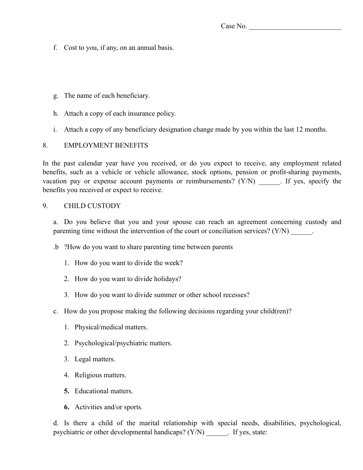- f. Cost to you, if any, on an annual basis.
- g. The name of each beneficiary.
- h. Attach a copy of each insurance policy.
- i. Attach a copy of any beneficiary designation change made by you within the last 12 months.

#### 8. EMPLOYMENT BENEFITS

In the past calendar year have you received, or do you expect to receive, any employment related benefits, such as a vehicle or vehicle allowance, stock options, pension or profit-sharing payments, vacation pay or expense account payments or reimbursements? (Y/N) \_\_\_\_\_\_. If yes, specify the benefits you received or expect to receive.

#### 9. CHILD CUSTODY

a. Do you believe that you and your spouse can reach an agreement concerning custody and parenting time without the intervention of the court or conciliation services? (Y/N) \_\_\_\_\_\_.

- .b ?How do you want to share parenting time between parents
	- 1. How do you want to divide the week?
	- 2. How do you want to divide holidays?
	- 3. How do you want to divide summer or other school recesses?
- c. How do you propose making the following decisions regarding your child(ren)?
	- 1. Physical/medical matters.
	- 2. Psychological/psychiatric matters.
	- 3. Legal matters.
	- 4. Religious matters.
	- **5.** Educational matters.
	- **6.** Activities and/or sports.

d. Is there a child of the marital relationship with special needs, disabilities, psychological, psychiatric or other developmental handicaps? (Y/N) \_\_\_\_\_\_. If yes, state: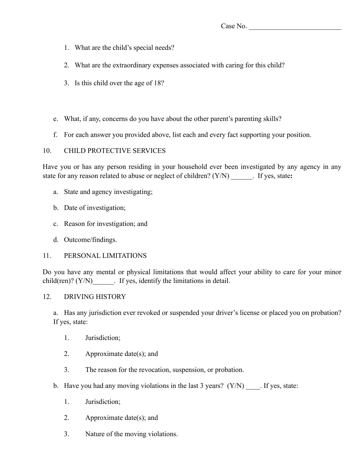- 1. What are the child's special needs?
- 2. What are the extraordinary expenses associated with caring for this child?
- 3. Is this child over the age of 18?
- e. What, if any, concerns do you have about the other parent's parenting skills?
- f. For each answer you provided above, list each and every fact supporting your position.

## 10. CHILD PROTECTIVE SERVICES

Have you or has any person residing in your household ever been investigated by any agency in any state for any reason related to abuse or neglect of children? (Y/N) \_\_\_\_\_\_. If yes, state**:** 

- a. State and agency investigating;
- b. Date of investigation;
- c. Reason for investigation; and
- d. Outcome/findings.

## 11. PERSONAL LIMITATIONS

Do you have any mental or physical limitations that would affect your ability to care for your minor child(ren)? (Y/N)  $\qquad$ . If yes, identify the limitations in detail.

## 12. DRIVING HISTORY

a. Has any jurisdiction ever revoked or suspended your driver's license or placed you on probation? If yes, state:

- 1. Jurisdiction;
- 2. Approximate date(s); and
- 3. The reason for the revocation, suspension, or probation.
- b. Have you had any moving violations in the last 3 years?  $(Y/N)$  . If yes, state:
	- 1. Jurisdiction;
	- 2. Approximate date(s); and
	- 3. Nature of the moving violations.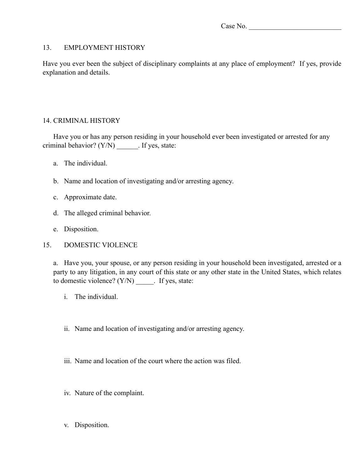#### 13. EMPLOYMENT HISTORY

Have you ever been the subject of disciplinary complaints at any place of employment? If yes, provide explanation and details.

## 14. CRIMINAL HISTORY

Have you or has any person residing in your household ever been investigated or arrested for any criminal behavior? (Y/N) \_\_\_\_\_\_. If yes, state:

- a. The individual.
- b. Name and location of investigating and/or arresting agency.
- c. Approximate date.
- d. The alleged criminal behavior.
- e. Disposition.
- 15. DOMESTIC VIOLENCE

a. Have you, your spouse, or any person residing in your household been investigated, arrested or a party to any litigation, in any court of this state or any other state in the United States, which relates to domestic violence? (Y/N) \_\_\_\_\_. If yes, state:

- i. The individual.
- ii. Name and location of investigating and/or arresting agency.
- iii. Name and location of the court where the action was filed.
- iv. Nature of the complaint.
- v. Disposition.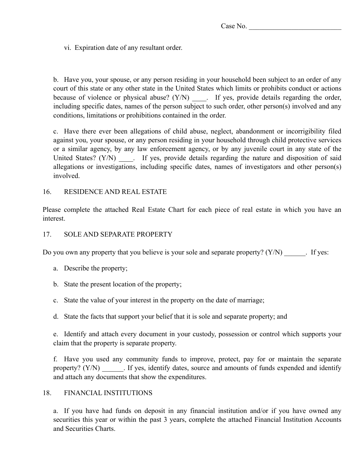vi. Expiration date of any resultant order.

b. Have you, your spouse, or any person residing in your household been subject to an order of any court of this state or any other state in the United States which limits or prohibits conduct or actions because of violence or physical abuse? (Y/N) \_\_\_\_. If yes, provide details regarding the order, including specific dates, names of the person subject to such order, other person(s) involved and any conditions, limitations or prohibitions contained in the order.

c. Have there ever been allegations of child abuse, neglect, abandonment or incorrigibility filed against you, your spouse, or any person residing in your household through child protective services or a similar agency, by any law enforcement agency, or by any juvenile court in any state of the United States? (Y/N) Figures, provide details regarding the nature and disposition of said allegations or investigations, including specific dates, names of investigators and other person(s) involved.

#### 16. RESIDENCE AND REAL ESTATE

Please complete the attached Real Estate Chart for each piece of real estate in which you have an interest.

#### 17. SOLE AND SEPARATE PROPERTY

Do you own any property that you believe is your sole and separate property?  $(Y/N)$  [ If yes:

- a. Describe the property;
- b. State the present location of the property;
- c. State the value of your interest in the property on the date of marriage;
- d. State the facts that support your belief that it is sole and separate property; and

e. Identify and attach every document in your custody, possession or control which supports your claim that the property is separate property.

f. Have you used any community funds to improve, protect, pay for or maintain the separate property?  $(Y/N)$  If yes, identify dates, source and amounts of funds expended and identify and attach any documents that show the expenditures.

#### 18. FINANCIAL INSTITUTIONS

a. If you have had funds on deposit in any financial institution and/or if you have owned any securities this year or within the past 3 years, complete the attached Financial Institution Accounts and Securities Charts.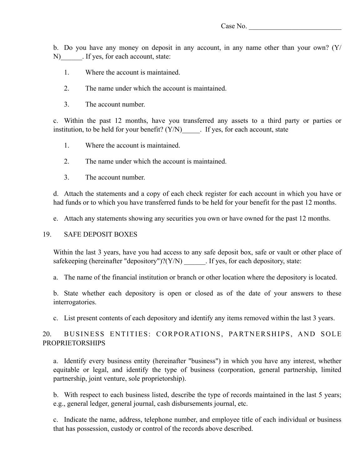b. Do you have any money on deposit in any account, in any name other than your own? (Y/ N) If yes, for each account, state:

- 1. Where the account is maintained.
- 2. The name under which the account is maintained.
- 3. The account number.

c. Within the past 12 months, have you transferred any assets to a third party or parties or institution, to be held for your benefit?  $(Y/N)$  [ If yes, for each account, state

- 1. Where the account is maintained.
- 2. The name under which the account is maintained.
- 3. The account number.

d. Attach the statements and a copy of each check register for each account in which you have or had funds or to which you have transferred funds to be held for your benefit for the past 12 months.

e. Attach any statements showing any securities you own or have owned for the past 12 months.

#### 19. SAFE DEPOSIT BOXES

Within the last 3 years, have you had access to any safe deposit box, safe or vault or other place of safekeeping (hereinafter "depository")? $(Y/N)$  . If yes, for each depository, state:

a. The name of the financial institution or branch or other location where the depository is located.

b. State whether each depository is open or closed as of the date of your answers to these interrogatories.

c. List present contents of each depository and identify any items removed within the last 3 years.

## 20. BUSINESS ENTITIES: CORPORATIONS, PARTNERSHIPS, AND SOLE PROPRIETORSHIPS

a. Identify every business entity (hereinafter "business") in which you have any interest, whether equitable or legal, and identify the type of business (corporation, general partnership, limited partnership, joint venture, sole proprietorship).

b. With respect to each business listed, describe the type of records maintained in the last 5 years; e.g., general ledger, general journal, cash disbursements journal, etc.

c. Indicate the name, address, telephone number, and employee title of each individual or business that has possession, custody or control of the records above described.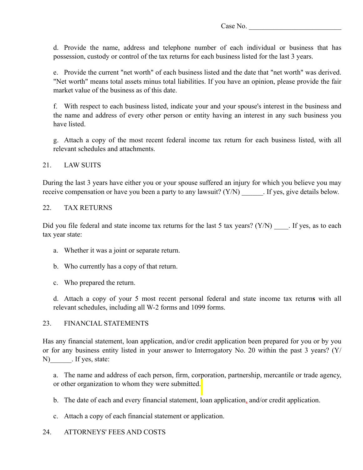d. Provide the name, address and telephone number of each individual or business that has possession, custody or control of the tax returns for each business listed for the last 3 years.

e. Provide the current "net worth" of each business listed and the date that "net worth" was derived. "Net worth" means total assets minus total liabilities. If you have an opinion, please provide the fair market value of the business as of this date.

f. With respect to each business listed, indicate your and your spouse's interest in the business and the name and address of every other person or entity having an interest in any such business you have listed.

g. Attach a copy of the most recent federal income tax return for each business listed, with all relevant schedules and attachments.

#### 21 LAW SUITS

During the last 3 years have either you or your spouse suffered an injury for which you believe you may receive compensation or have you been a party to any lawsuit? (Y/N) \_\_\_\_\_\_. If yes, give details below.

#### 22. TAX RETURNS

Did you file federal and state income tax returns for the last 5 tax years?  $(Y/N)$  . If yes, as to each tax year state:

- a. Whether it was a joint or separate return.
- b. Who currently has a copy of that return.
- c. Who prepared the return.

d. Attach a copy of your 5 most recent personal federal and state income tax return**s** with all relevant schedules, including all W-2 forms and 1099 forms.

## 23. FINANCIAL STATEMENTS

Has any financial statement, loan application, and/or credit application been prepared for you or by you or for any business entity listed in your answer to Interrogatory No. 20 within the past 3 years? (Y/ N) If yes, state:

a. The name and address of each person, firm, corporation, partnership, mercantile or trade agency, or other organization to whom they were submitted.

- b. The date of each and every financial statement, loan application, and/or credit application.
- c. Attach a copy of each financial statement or application.
- 24. ATTORNEYS' FEES AND COSTS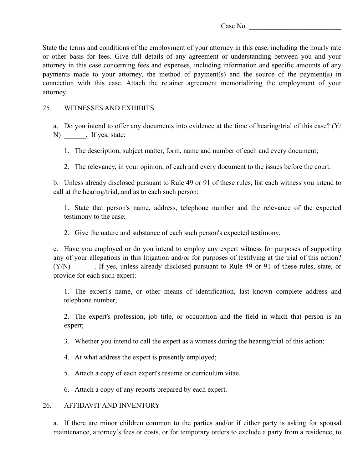State the terms and conditions of the employment of your attorney in this case, including the hourly rate or other basis for fees. Give full details of any agreement or understanding between you and your attorney in this case concerning fees and expenses, including information and specific amounts of any payments made to your attorney, the method of payment(s) and the source of the payment(s) in connection with this case. Attach the retainer agreement memorializing the employment of your attorney.

## 25. WITNESSES AND EXHIBITS

a. Do you intend to offer any documents into evidence at the time of hearing/trial of this case? (Y/ N) Figure 1. If yes, state:

1. The description, subject matter, form, name and number of each and every document;

2. The relevancy, in your opinion, of each and every document to the issues before the court.

b. Unless already disclosed pursuant to Rule 49 or 91 of these rules, list each witness you intend to call at the hearing/trial, and as to each such person:

1. State that person's name, address, telephone number and the relevance of the expected testimony to the case;

2. Give the nature and substance of each such person's expected testimony.

c. Have you employed or do you intend to employ any expert witness for purposes of supporting any of your allegations in this litigation and/or for purposes of testifying at the trial of this action? (Y/N) Fig. 1. If yes, unless already disclosed pursuant to Rule 49 or 91 of these rules, state, or provide for each such expert:

1. The expert's name, or other means of identification, last known complete address and telephone number;

2. The expert's profession, job title, or occupation and the field in which that person is an expert;

3. Whether you intend to call the expert as a witness during the hearing/trial of this action;

4. At what address the expert is presently employed;

5. Attach a copy of each expert's resume or curriculum vitae.

6. Attach a copy of any reports prepared by each expert.

## 26. AFFIDAVIT AND INVENTORY

a. If there are minor children common to the parties and/or if either party is asking for spousal maintenance, attorney's fees or costs, or for temporary orders to exclude a party from a residence, to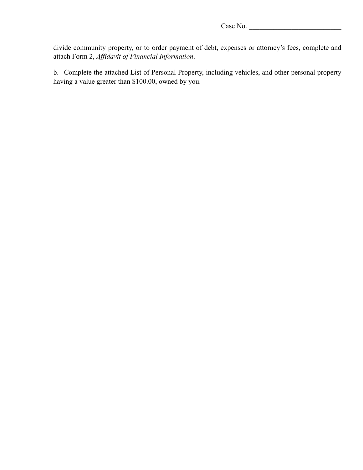divide community property, or to order payment of debt, expenses or attorney's fees, complete and attach Form 2, *Affidavit of Financial Information*.

b. Complete the attached List of Personal Property, including vehicles, and other personal property having a value greater than \$100.00, owned by you.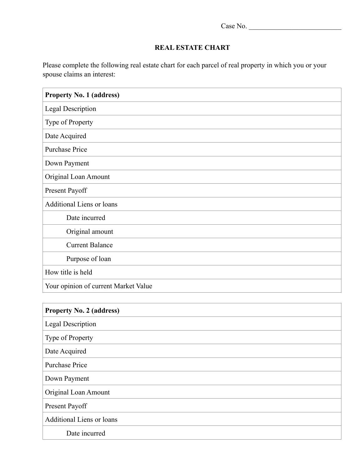$\overline{\phantom{a}}$ 

## **REAL ESTATE CHART**

Please complete the following real estate chart for each parcel of real property in which you or your spouse claims an interest:

| <b>Property No. 1 (address)</b>      |
|--------------------------------------|
| <b>Legal Description</b>             |
| Type of Property                     |
| Date Acquired                        |
| <b>Purchase Price</b>                |
| Down Payment                         |
| Original Loan Amount                 |
| Present Payoff                       |
| <b>Additional Liens or loans</b>     |
| Date incurred                        |
| Original amount                      |
| <b>Current Balance</b>               |
| Purpose of loan                      |
| How title is held                    |
| Your opinion of current Market Value |

| <b>Property No. 2 (address)</b>  |
|----------------------------------|
| <b>Legal Description</b>         |
| Type of Property                 |
| Date Acquired                    |
| <b>Purchase Price</b>            |
| Down Payment                     |
| Original Loan Amount             |
| Present Payoff                   |
| <b>Additional Liens or loans</b> |
| Date incurred                    |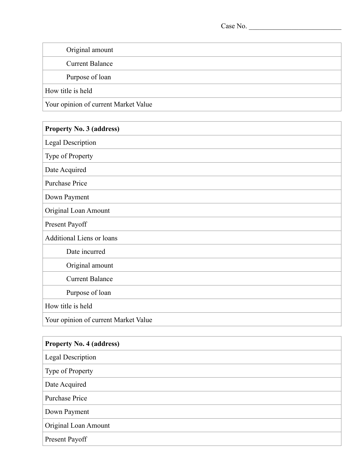| Original amount                      |  |
|--------------------------------------|--|
| <b>Current Balance</b>               |  |
| Purpose of loan                      |  |
| How title is held                    |  |
| Your opinion of current Market Value |  |

| <b>Property No. 3 (address)</b>      |
|--------------------------------------|
| <b>Legal Description</b>             |
| Type of Property                     |
| Date Acquired                        |
| <b>Purchase Price</b>                |
| Down Payment                         |
| Original Loan Amount                 |
| Present Payoff                       |
| <b>Additional Liens or loans</b>     |
| Date incurred                        |
| Original amount                      |
| <b>Current Balance</b>               |
| Purpose of loan                      |
| How title is held                    |
| Your opinion of current Market Value |

| <b>Property No. 4 (address)</b> |
|---------------------------------|
| <b>Legal Description</b>        |
| Type of Property                |
| Date Acquired                   |
| Purchase Price                  |
| Down Payment                    |
| Original Loan Amount            |
| Present Payoff                  |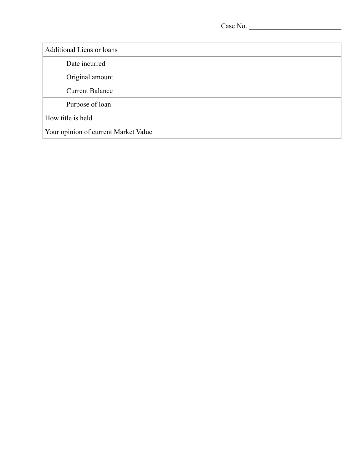Additional Liens or loans Date incurred Original amount Current Balance Purpose of loan How title is held Your opinion of current Market Value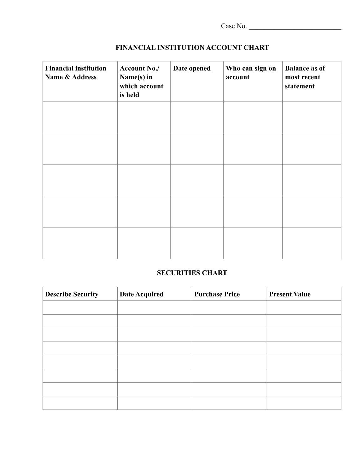| Case No. |  |
|----------|--|
|----------|--|

| <b>Financial institution</b><br><b>Name &amp; Address</b> | Account No./<br>Name(s) in<br>which account<br>is held | Date opened | Who can sign on<br>account | <b>Balance as of</b><br>most recent<br>statement |
|-----------------------------------------------------------|--------------------------------------------------------|-------------|----------------------------|--------------------------------------------------|
|                                                           |                                                        |             |                            |                                                  |
|                                                           |                                                        |             |                            |                                                  |
|                                                           |                                                        |             |                            |                                                  |
|                                                           |                                                        |             |                            |                                                  |
|                                                           |                                                        |             |                            |                                                  |

## **FINANCIAL INSTITUTION ACCOUNT CHART**

## **SECURITIES CHART**

| <b>Describe Security</b> | <b>Date Acquired</b> | <b>Purchase Price</b> | <b>Present Value</b> |
|--------------------------|----------------------|-----------------------|----------------------|
|                          |                      |                       |                      |
|                          |                      |                       |                      |
|                          |                      |                       |                      |
|                          |                      |                       |                      |
|                          |                      |                       |                      |
|                          |                      |                       |                      |
|                          |                      |                       |                      |
|                          |                      |                       |                      |